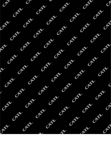

4) Investigation

Employees should strictly abide by the Code of Conduct. For violations of the Code of Conduct and laws and regulations, the COC Advisory Office should investigate or ask the relevant departments to conduct self-examination, and the relevant departments should cooperate.

5) Accept consultation

A consultation hotline or email should be indicated on the CATL website to enable CATL's employees or partners to send complaints and information, opinions, inquiries, requests, or consultations about the Code of Conduct to the COC Advisory Office by phone or email.

Hotline number: 19959356699, 0593-8903598 (fax)

E-mail: [CATL-COC@catlbattery.com](mailto:CATL-COC@catlbattery.com)

The COC Advisory Office should accept complaints, information, questions, comments, requests or inquiries regarding the CATL Code of Conduct, and evaluated the information submitted.

6) Lability of confidentiality and protection of consulters

The COC Advisory Office shall keep the information obtained through the implementation of the CATL Code of Conduct confidential and protect the consulters from any unfair treatment or loss due to the consulting behavior. The COC Advisory Office shall act based on the will of the consulter. To solve the problem of the consulter, it may disclose certain information obtained from the consulter if it deems it necessary.

7) Record and preservation

The COC Advisory Office shall record and preserve all anonymous and signed complaints, information, comments, inquiries, requests and consultation received for 3 years.

## **3.4 Training and education**

To familiarize CATL's employees with the Code of Conduct, CATL Human Resources Department and relevant departments should organize Code of Conduct training courses, regular training and online learning and testing.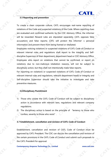

## **3.5 Reporting and prevention**

To create a clean corporate culture, CATL encourages real-name reporting of violations of the Code and suspected violations of the Code. Where reporting clues are evaluated and confirmed authentic by the COC Advisory Office, the informer will be rewarded. Reward rules are stipulated separately. CATL opposes false accusations and false reports; CATL will protect the informer's personal information and prevent them from being framed or retaliated.

Employees noticing violations or suspected violations of CATL Code of Conduct or relavant internal rules and regulations shall report to the integrity and Selfdiscipline Supervisor of their department, department head or COC Advisory Office. Employees who report on violations that cannot be confirmed, or report on violations due to non-malicious retaliation reasons, will not be subject to disciplinary action, but they shall not intentionally make false reports.

For reporting on violations or suspected violations of CATL Code of Conduct or relevant internal rules and regulations, relevant department heads or Integrity and Self-discipline Supervisor should take the initiative to investigate and take preventive measures.

## **3.6 Disciplinary Punishment**

- 1) Those who violate the CATL Code of Conduct will be subject to disciplinary action in accordance with relevant laws, regulations and relevant company regulations.
- 2) The disciplinary action is based on the principle of "leniency to those who confess, severity to those who resist".

## **3.7 Establishment, cancellation and revision of CATL Code of Conduct**

Establishment, cancellation and revision of CATL Code of Conduct must be approved by CATL President. The COC can discuss the cancellation and revision of the certain provisions in the CATL Code of Conduct and submit such proposals to the CATL President for approval.

**Contemporary Amperex Technology Co., Limited www.catl.com**